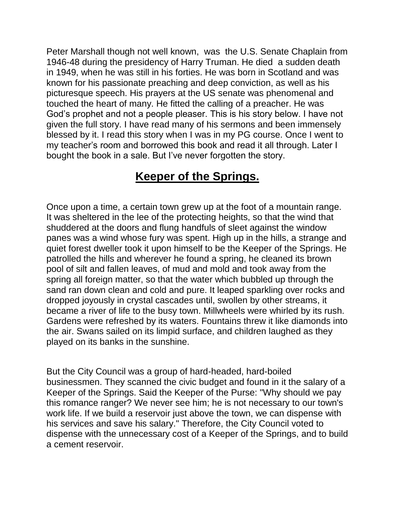Peter Marshall though not well known, was the U.S. Senate Chaplain from 1946-48 during the presidency of Harry Truman. He died a sudden death in 1949, when he was still in his forties. He was born in Scotland and was known for his passionate preaching and deep conviction, as well as his picturesque speech. His prayers at the US senate was phenomenal and touched the heart of many. He fitted the calling of a preacher. He was God's prophet and not a people pleaser. This is his story below. I have not given the full story. I have read many of his sermons and been immensely blessed by it. I read this story when I was in my PG course. Once I went to my teacher's room and borrowed this book and read it all through. Later I bought the book in a sale. But I've never forgotten the story.

## **Keeper of the Springs.**

Once upon a time, a certain town grew up at the foot of a mountain range. It was sheltered in the lee of the protecting heights, so that the wind that shuddered at the doors and flung handfuls of sleet against the window panes was a wind whose fury was spent. High up in the hills, a strange and quiet forest dweller took it upon himself to be the Keeper of the Springs. He patrolled the hills and wherever he found a spring, he cleaned its brown pool of silt and fallen leaves, of mud and mold and took away from the spring all foreign matter, so that the water which bubbled up through the sand ran down clean and cold and pure. It leaped sparkling over rocks and dropped joyously in crystal cascades until, swollen by other streams, it became a river of life to the busy town. Millwheels were whirled by its rush. Gardens were refreshed by its waters. Fountains threw it like diamonds into the air. Swans sailed on its limpid surface, and children laughed as they played on its banks in the sunshine.

But the City Council was a group of hard-headed, hard-boiled businessmen. They scanned the civic budget and found in it the salary of a Keeper of the Springs. Said the Keeper of the Purse: "Why should we pay this romance ranger? We never see him; he is not necessary to our town's work life. If we build a reservoir just above the town, we can dispense with his services and save his salary." Therefore, the City Council voted to dispense with the unnecessary cost of a Keeper of the Springs, and to build a cement reservoir.